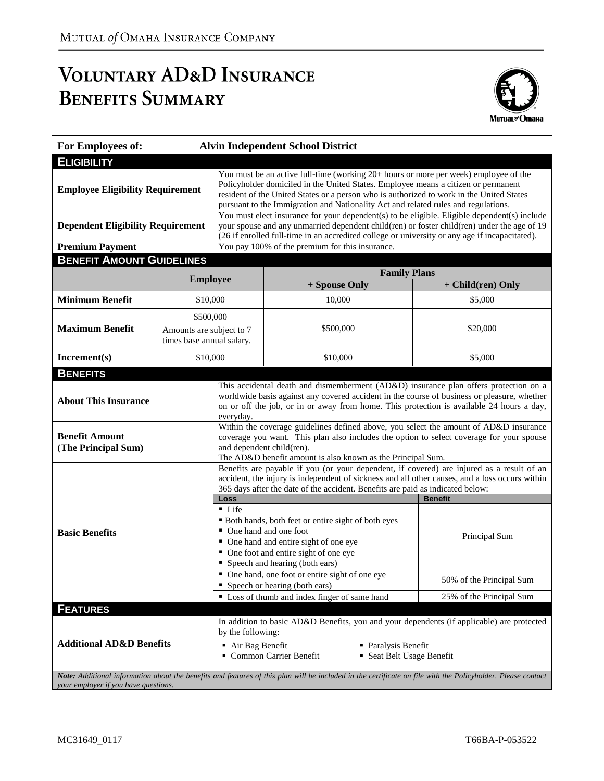# VOLUNTARY AD&D INSURANCE **BENEFITS SUMMARY**



| For Employees of:                                                                                                                                                                                   |                                                                    |                                                                                                                                                                                                                                                                                                                                                              | <b>Alvin Independent School District</b>                                           |                          |                   |  |  |  |
|-----------------------------------------------------------------------------------------------------------------------------------------------------------------------------------------------------|--------------------------------------------------------------------|--------------------------------------------------------------------------------------------------------------------------------------------------------------------------------------------------------------------------------------------------------------------------------------------------------------------------------------------------------------|------------------------------------------------------------------------------------|--------------------------|-------------------|--|--|--|
| <b>ELIGIBILITY</b>                                                                                                                                                                                  |                                                                    |                                                                                                                                                                                                                                                                                                                                                              |                                                                                    |                          |                   |  |  |  |
| <b>Employee Eligibility Requirement</b>                                                                                                                                                             |                                                                    | You must be an active full-time (working 20+ hours or more per week) employee of the<br>Policyholder domiciled in the United States. Employee means a citizen or permanent<br>resident of the United States or a person who is authorized to work in the United States<br>pursuant to the Immigration and Nationality Act and related rules and regulations. |                                                                                    |                          |                   |  |  |  |
| <b>Dependent Eligibility Requirement</b>                                                                                                                                                            |                                                                    | You must elect insurance for your dependent(s) to be eligible. Eligible dependent(s) include<br>your spouse and any unmarried dependent child(ren) or foster child(ren) under the age of 19<br>(26 if enrolled full-time in an accredited college or university or any age if incapacitated).                                                                |                                                                                    |                          |                   |  |  |  |
| <b>Premium Payment</b>                                                                                                                                                                              |                                                                    | You pay 100% of the premium for this insurance.                                                                                                                                                                                                                                                                                                              |                                                                                    |                          |                   |  |  |  |
| <b>BENEFIT AMOUNT GUIDELINES</b>                                                                                                                                                                    |                                                                    |                                                                                                                                                                                                                                                                                                                                                              |                                                                                    |                          |                   |  |  |  |
| <b>Employee</b>                                                                                                                                                                                     |                                                                    |                                                                                                                                                                                                                                                                                                                                                              | <b>Family Plans</b>                                                                |                          |                   |  |  |  |
|                                                                                                                                                                                                     |                                                                    |                                                                                                                                                                                                                                                                                                                                                              | + Spouse Only                                                                      |                          | + Child(ren) Only |  |  |  |
| <b>Minimum Benefit</b>                                                                                                                                                                              | \$10,000                                                           |                                                                                                                                                                                                                                                                                                                                                              | 10,000                                                                             |                          | \$5,000           |  |  |  |
| <b>Maximum Benefit</b>                                                                                                                                                                              | \$500,000<br>Amounts are subject to 7<br>times base annual salary. |                                                                                                                                                                                                                                                                                                                                                              | \$500,000                                                                          |                          | \$20,000          |  |  |  |
| Increment(s)                                                                                                                                                                                        | \$10,000                                                           |                                                                                                                                                                                                                                                                                                                                                              | \$10,000                                                                           |                          | \$5,000           |  |  |  |
| <b>BENEFITS</b>                                                                                                                                                                                     |                                                                    |                                                                                                                                                                                                                                                                                                                                                              |                                                                                    |                          |                   |  |  |  |
| <b>About This Insurance</b>                                                                                                                                                                         |                                                                    | This accidental death and dismemberment (AD&D) insurance plan offers protection on a<br>worldwide basis against any covered accident in the course of business or pleasure, whether<br>on or off the job, or in or away from home. This protection is available 24 hours a day,<br>everyday.                                                                 |                                                                                    |                          |                   |  |  |  |
| <b>Benefit Amount</b><br>(The Principal Sum)                                                                                                                                                        |                                                                    | Within the coverage guidelines defined above, you select the amount of AD&D insurance<br>coverage you want. This plan also includes the option to select coverage for your spouse<br>and dependent child(ren).<br>The AD&D benefit amount is also known as the Principal Sum.                                                                                |                                                                                    |                          |                   |  |  |  |
|                                                                                                                                                                                                     |                                                                    | Benefits are payable if you (or your dependent, if covered) are injured as a result of an<br>accident, the injury is independent of sickness and all other causes, and a loss occurs within<br>365 days after the date of the accident. Benefits are paid as indicated below:                                                                                |                                                                                    |                          |                   |  |  |  |
|                                                                                                                                                                                                     |                                                                    | Loss<br><b>Benefit</b>                                                                                                                                                                                                                                                                                                                                       |                                                                                    |                          |                   |  |  |  |
| <b>Basic Benefits</b>                                                                                                                                                                               |                                                                    | $\blacksquare$ Life<br>" Both hands, both feet or entire sight of both eyes<br>• One hand and one foot<br>Principal Sum<br>• One hand and entire sight of one eye<br>• One foot and entire sight of one eye<br>• Speech and hearing (both ears)                                                                                                              |                                                                                    |                          |                   |  |  |  |
|                                                                                                                                                                                                     |                                                                    |                                                                                                                                                                                                                                                                                                                                                              | • One hand, one foot or entire sight of one eye<br>• Speech or hearing (both ears) | 50% of the Principal Sum |                   |  |  |  |
|                                                                                                                                                                                                     |                                                                    |                                                                                                                                                                                                                                                                                                                                                              | • Loss of thumb and index finger of same hand                                      | 25% of the Principal Sum |                   |  |  |  |
| <b>FEATURES</b>                                                                                                                                                                                     |                                                                    |                                                                                                                                                                                                                                                                                                                                                              |                                                                                    |                          |                   |  |  |  |
| <b>Additional AD&amp;D Benefits</b>                                                                                                                                                                 |                                                                    | In addition to basic AD&D Benefits, you and your dependents (if applicable) are protected<br>by the following:<br>Air Bag Benefit<br>• Paralysis Benefit<br>Common Carrier Benefit<br>• Seat Belt Usage Benefit                                                                                                                                              |                                                                                    |                          |                   |  |  |  |
| Note: Additional information about the benefits and features of this plan will be included in the certificate on file with the Policyholder. Please contact<br>your employer if you have questions. |                                                                    |                                                                                                                                                                                                                                                                                                                                                              |                                                                                    |                          |                   |  |  |  |